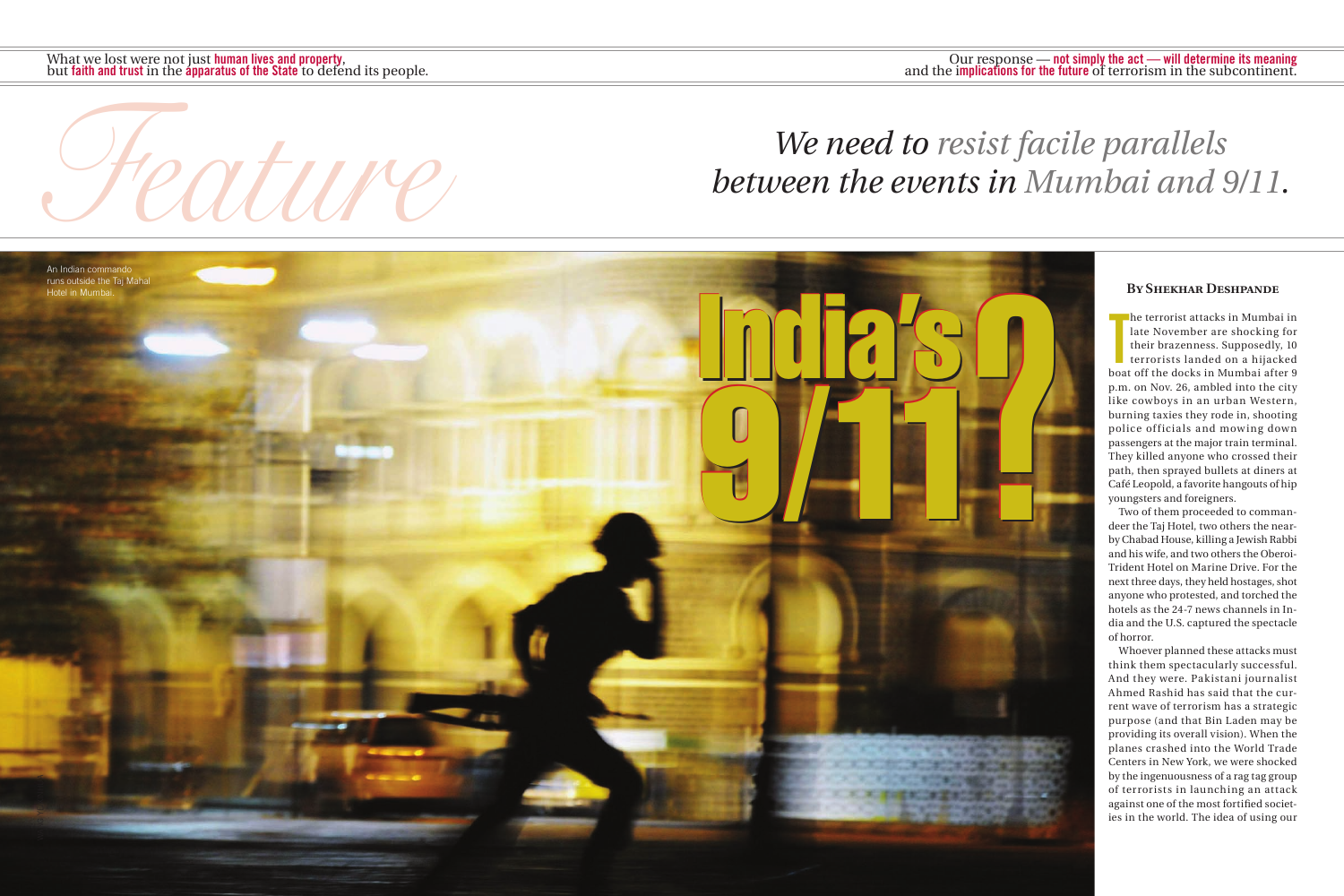

# *Feature Properties We need to resist facile parallels between the events in Mumbai and S between the events in Mumbai and 9/11.*

#### **By Shekhar Deshpande**

he terrorist attacks in Mumbai in<br>late November are shocking for<br>their brazenness. Supposedly, 10<br>terrorists landed on a hijacked<br>boat off the docks in Mumbai after 9 he terrorist attacks in Mumbai in late November are shocking for their brazenness. Supposedly, 10 terrorists landed on a hijacked p.m. on Nov. 26, ambled into the city like cowboys in an urban Western, burning taxies they rode in, shooting police officials and mowing down passengers at the major train terminal. They killed anyone who crossed their path, then sprayed bullets at diners at Café Leopold, a favorite hangouts of hip youngsters and foreigners.

Two of them proceeded to commandeer the Taj Hotel, two others the nearby Chabad House, killing a Jewish Rabbi and his wife, and two others the Oberoi-Trident Hotel on Marine Drive. For the next three days, they held hostages, shot anyone who protested, and torched the hotels as the 24-7 news channels in India and the U.S. captured the spectacle of horror.

Whoever planned these attacks must think them spectacularly successful. And they were. Pakistani journalist Ahmed Rashid has said that the current wave of terrorism has a strategic purpose (and that Bin Laden may be providing its overall vision). When the planes crashed into the World Trade Centers in New York, we were shocked by the ingenuousness of a rag tag group of terrorists in launching an attack against one of the most fortified societies in the world. The idea of using our

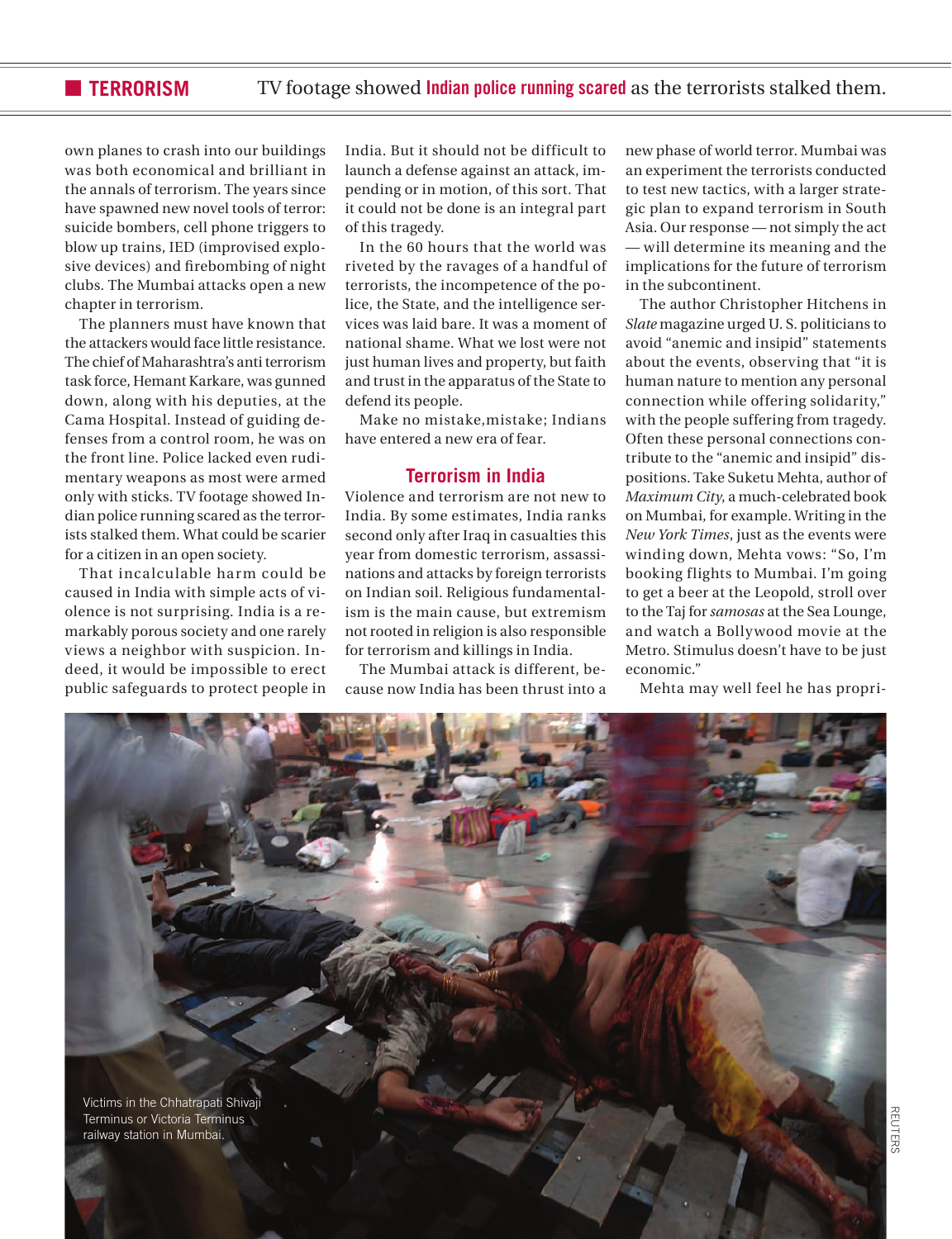#### **TERRORISM** TV footage showed **Indian police running scared** as the terrorists stalked them.

own planes to crash into our buildings was both economical and brilliant in the annals of terrorism. The years since have spawned new novel tools of terror: suicide bombers, cell phone triggers to blow up trains, IED (improvised explosive devices) and firebombing of night clubs. The Mumbai attacks open a new chapter in terrorism.

The planners must have known that the attackers would face little resistance. The chief of Maharashtra's anti terrorism task force, Hemant Karkare, was gunned down, along with his deputies, at the Cama Hospital. Instead of guiding defenses from a control room, he was on the front line. Police lacked even rudimentary weapons as most were armed only with sticks. TV footage showed Indian police running scared as the terrorists stalked them. What could be scarier for a citizen in an open society.

That incalculable harm could be caused in India with simple acts of violence is not surprising. India is a remarkably porous society and one rarely views a neighbor with suspicion. Indeed, it would be impossible to erect public safeguards to protect people in India. But it should not be difficult to launch a defense against an attack, impending or in motion, of this sort. That it could not be done is an integral part of this tragedy.

In the 60 hours that the world was riveted by the ravages of a handful of terrorists, the incompetence of the police, the State, and the intelligence services was laid bare. It was a moment of national shame. What we lost were not just human lives and property, but faith and trust in the apparatus of the State to defend its people.

Make no mistake,mistake; Indians have entered a new era of fear.

### **Terrorism in India**

Violence and terrorism are not new to India. By some estimates, India ranks second only after Iraq in casualties this year from domestic terrorism, assassinations and attacks by foreign terrorists on Indian soil. Religious fundamentalism is the main cause, but extremism not rooted in religion is also responsible for terrorism and killings in India.

The Mumbai attack is different, because now India has been thrust into a new phase of world terror. Mumbai was an experiment the terrorists conducted to test new tactics, with a larger strategic plan to expand terrorism in South Asia. Our response — not simply the act — will determine its meaning and the implications for the future of terrorism in the subcontinent.

The author Christopher Hitchens in *Slate* magazine urged U. S. politicians to avoid "anemic and insipid" statements about the events, observing that "it is human nature to mention any personal connection while offering solidarity," with the people suffering from tragedy. Often these personal connections contribute to the "anemic and insipid" dispositions. Take Suketu Mehta, author of *Maximum City*, a much-celebrated book on Mumbai, for example. Writing in the *New York Times*, just as the events were winding down, Mehta vows: "So, I'm booking flights to Mumbai. I'm going to get a beer at the Leopold, stroll over to the Taj for *samosas* at the Sea Lounge, and watch a Bollywood movie at the Metro. Stimulus doesn't have to be just economic."

Mehta may well feel he has propri-

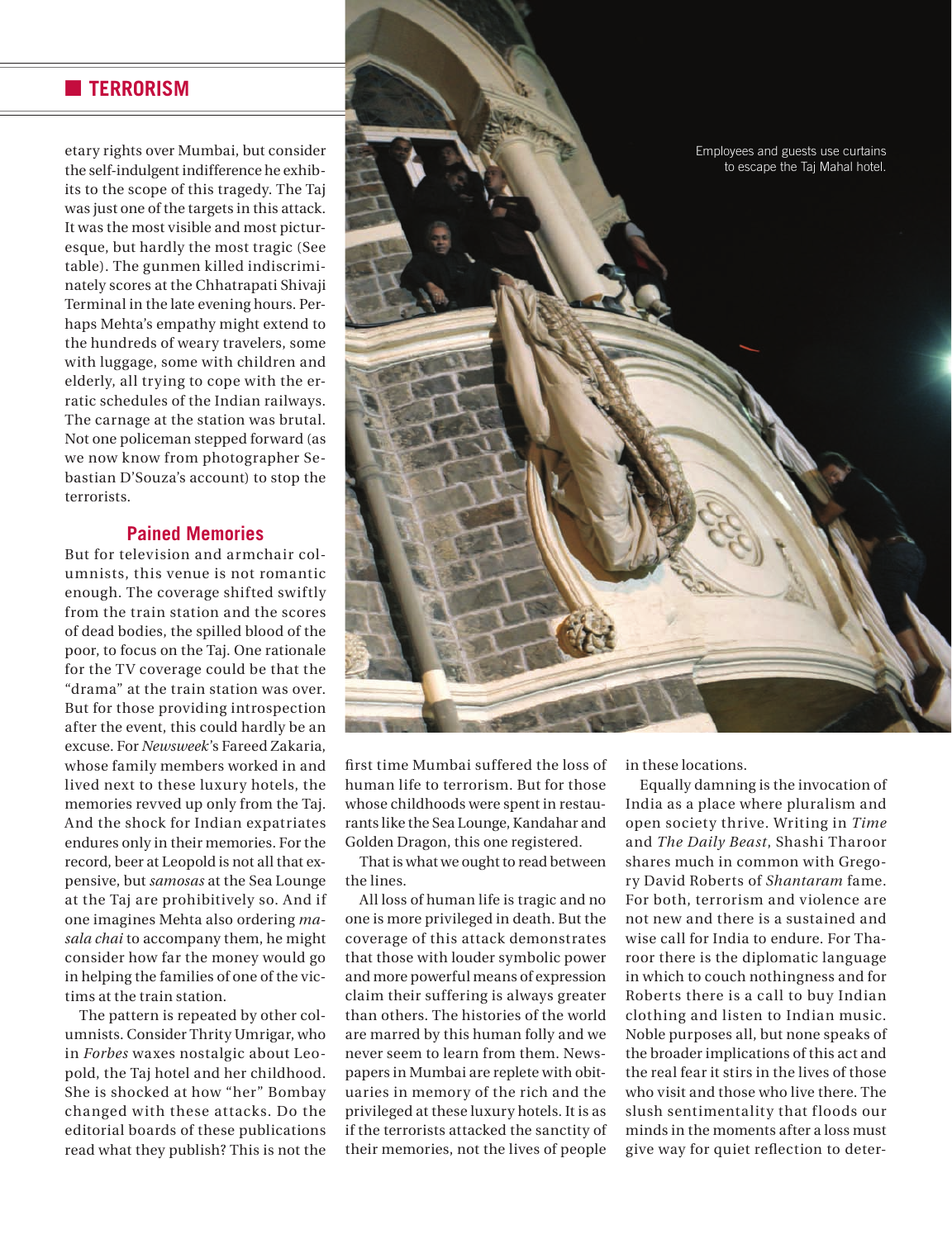#### **n** TERRORISM

etary rights over Mumbai, but consider the self-indulgent indifference he exhibits to the scope of this tragedy. The Taj was just one of the targets in this attack. It was the most visible and most picturesque, but hardly the most tragic (See table). The gunmen killed indiscriminately scores at the Chhatrapati Shivaji Terminal in the late evening hours. Perhaps Mehta's empathy might extend to the hundreds of weary travelers, some with luggage, some with children and elderly, all trying to cope with the erratic schedules of the Indian railways. The carnage at the station was brutal. Not one policeman stepped forward (as we now know from photographer Sebastian D'Souza's account) to stop the terrorists.

#### **Pained Memories**

But for television and armchair columnists, this venue is not romantic enough. The coverage shifted swiftly from the train station and the scores of dead bodies, the spilled blood of the poor, to focus on the Taj. One rationale for the TV coverage could be that the "drama" at the train station was over. But for those providing introspection after the event, this could hardly be an excuse. For *Newsweek*'s Fareed Zakaria, whose family members worked in and lived next to these luxury hotels, the memories revved up only from the Taj. And the shock for Indian expatriates endures only in their memories. For the record, beer at Leopold is not all that expensive, but *samosas* at the Sea Lounge at the Taj are prohibitively so. And if one imagines Mehta also ordering *masala chai* to accompany them, he might consider how far the money would go in helping the families of one of the victims at the train station.

The pattern is repeated by other columnists. Consider Thrity Umrigar, who in *Forbes* waxes nostalgic about Leopold, the Taj hotel and her childhood. She is shocked at how "her" Bombay changed with these attacks. Do the editorial boards of these publications read what they publish? This is not the



first time Mumbai suffered the loss of human life to terrorism. But for those whose childhoods were spent in restaurants like the Sea Lounge, Kandahar and Golden Dragon, this one registered.

That is what we ought to read between the lines.

All loss of human life is tragic and no one is more privileged in death. But the coverage of this attack demonstrates that those with louder symbolic power and more powerful means of expression claim their suffering is always greater than others. The histories of the world are marred by this human folly and we never seem to learn from them. Newspapers in Mumbai are replete with obituaries in memory of the rich and the privileged at these luxury hotels. It is as if the terrorists attacked the sanctity of their memories, not the lives of people

in these locations.

Equally damning is the invocation of India as a place where pluralism and open society thrive. Writing in *Time* and *The Daily Beast*, Shashi Tharoor shares much in common with Gregory David Roberts of *Shantaram* fame. For both, terrorism and violence are not new and there is a sustained and wise call for India to endure. For Tharoor there is the diplomatic language in which to couch nothingness and for Roberts there is a call to buy Indian clothing and listen to Indian music. Noble purposes all, but none speaks of the broader implications of this act and the real fear it stirs in the lives of those who visit and those who live there. The slush sentimentality that floods our minds in the moments after a loss must give way for quiet reflection to deter-